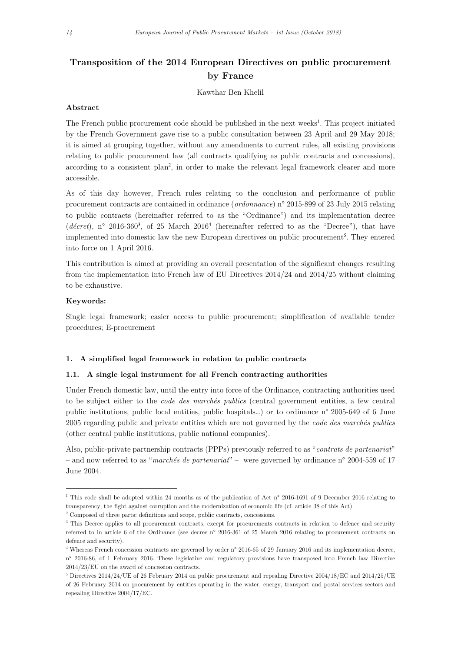# Transposition of the 2014 European Directives on public procurement by France

Kawthar Ben Khelil

### Abstract

The French public procurement code should be published in the next weeks<sup>1</sup>. This project initiated by the French Government gave rise to a public consultation between 23 April and 29 May 2018; it is aimed at grouping together, without any amendments to current rules, all existing provisions relating to public procurement law (all contracts qualifying as public contracts and concessions), according to a consistent plan<sup>2</sup> , in order to make the relevant legal framework clearer and more accessible.

As of this day however, French rules relating to the conclusion and performance of public procurement contracts are contained in ordinance (*ordonnance*) n° 2015-899 of 23 July 2015 relating to public contracts (hereinafter referred to as the "Ordinance") and its implementation decree (décret), n° 2016-360<sup>3</sup>, of 25 March 2016<sup>4</sup> (hereinafter referred to as the "Decree"), that have implemented into domestic law the new European directives on public procurement<sup>5</sup>. They entered into force on 1 April 2016.

This contribution is aimed at providing an overall presentation of the significant changes resulting from the implementation into French law of EU Directives 2014/24 and 2014/25 without claiming to be exhaustive.

### Keywords:

-

Single legal framework; easier access to public procurement; simplification of available tender procedures; E-procurement

#### 1. A simplified legal framework in relation to public contracts

### 1.1. A single legal instrument for all French contracting authorities

Under French domestic law, until the entry into force of the Ordinance, contracting authorities used to be subject either to the code des marchés publics (central government entities, a few central public institutions, public local entities, public hospitals…) or to ordinance n° 2005-649 of 6 June 2005 regarding public and private entities which are not governed by the code des marchés publics (other central public institutions, public national companies).

Also, public-private partnership contracts (PPPs) previously referred to as "contrats de partenariat" – and now referred to as "marchés de partenariat" – were governed by ordinance n° 2004-559 of 17 June 2004.

<sup>&</sup>lt;sup>1</sup> This code shall be adopted within 24 months as of the publication of Act n° 2016-1691 of 9 December 2016 relating to transparency, the fight against corruption and the modernization of economic life (cf. article 38 of this Act).

<sup>2</sup> Composed of three parts: definitions and scope, public contracts, concessions.

<sup>&</sup>lt;sup>3</sup> This Decree applies to all procurement contracts, except for procurements contracts in relation to defence and security referred to in article 6 of the Ordinance (see decree n° 2016-361 of 25 March 2016 relating to procurement contracts on defence and security).

<sup>4</sup> Whereas French concession contracts are governed by order n° 2016-65 of 29 January 2016 and its implementation decree, n° 2016-86, of 1 February 2016. These legislative and regulatory provisions have transposed into French law Directive 2014/23/EU on the award of concession contracts.

<sup>&</sup>lt;sup>5</sup> Directives 2014/24/UE of 26 February 2014 on public procurement and repealing Directive 2004/18/EC and 2014/25/UE of 26 February 2014 on procurement by entities operating in the water, energy, transport and postal services sectors and repealing Directive 2004/17/EC.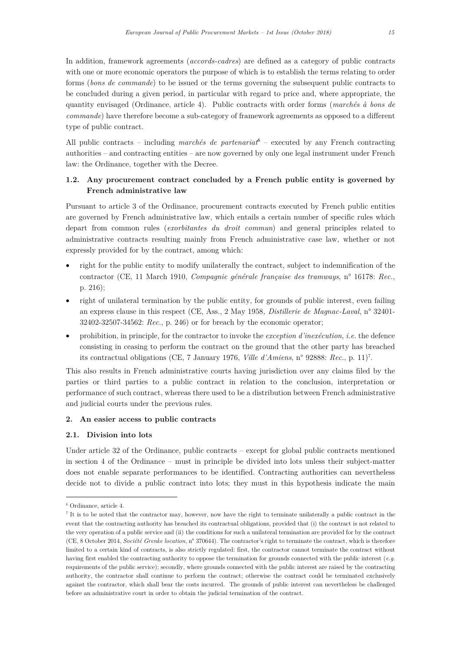In addition, framework agreements (accords-cadres) are defined as a category of public contracts with one or more economic operators the purpose of which is to establish the terms relating to order forms (bons de commande) to be issued or the terms governing the subsequent public contracts to be concluded during a given period, in particular with regard to price and, where appropriate, the quantity envisaged (Ordinance, article 4). Public contracts with order forms (marchés à bons de commande) have therefore become a sub-category of framework agreements as opposed to a different type of public contract.

All public contracts – including marchés de partenariat<sup>6</sup> – executed by any French contracting authorities – and contracting entities – are now governed by only one legal instrument under French law: the Ordinance, together with the Decree.

# 1.2. Any procurement contract concluded by a French public entity is governed by French administrative law

Pursuant to article 3 of the Ordinance, procurement contracts executed by French public entities are governed by French administrative law, which entails a certain number of specific rules which depart from common rules (*exorbitantes du droit commun*) and general principles related to administrative contracts resulting mainly from French administrative case law, whether or not expressly provided for by the contract, among which:

- right for the public entity to modify unilaterally the contract, subject to indemnification of the contractor (CE, 11 March 1910, Compagnie générale française des tramways, n° 16178: Rec., p. 216);
- right of unilateral termination by the public entity, for grounds of public interest, even failing an express clause in this respect (CE, Ass., 2 May 1958, Distillerie de Magnac-Laval, n° 32401- 32402-32507-34562: Rec., p. 246) or for breach by the economic operator;
- prohibition, in principle, for the contractor to invoke the exception d'inexécution, i.e. the defence consisting in ceasing to perform the contract on the ground that the other party has breached its contractual obligations (CE, 7 January 1976, Ville d'Amiens, n° 92888: Rec., p. 11)<sup>7</sup> .

This also results in French administrative courts having jurisdiction over any claims filed by the parties or third parties to a public contract in relation to the conclusion, interpretation or performance of such contract, whereas there used to be a distribution between French administrative and judicial courts under the previous rules.

### 2. An easier access to public contracts

### 2.1. Division into lots

Under article 32 of the Ordinance, public contracts – except for global public contracts mentioned in section 4 of the Ordinance – must in principle be divided into lots unless their subject-matter does not enable separate performances to be identified. Contracting authorities can nevertheless decide not to divide a public contract into lots; they must in this hypothesis indicate the main

<sup>6</sup> Ordinance, article 4.

<sup>&</sup>lt;sup>7</sup> It is to be noted that the contractor may, however, now have the right to terminate unilaterally a public contract in the event that the contracting authority has breached its contractual obligations, provided that (i) the contract is not related to the very operation of a public service and (ii) the conditions for such a unilateral termination are provided for by the contract (CE, 8 October 2014, Société Grenke location, n° 370644). The contractor's right to terminate the contract, which is therefore limited to a certain kind of contracts, is also strictly regulated: first, the contractor cannot terminate the contract without having first enabled the contracting authority to oppose the termination for grounds connected with the public interest (e.g. requirements of the public service); secondly, where grounds connected with the public interest are raised by the contracting authority, the contractor shall continue to perform the contract; otherwise the contract could be terminated exclusively against the contractor, which shall bear the costs incurred. The grounds of public interest can nevertheless be challenged before an administrative court in order to obtain the judicial termination of the contract.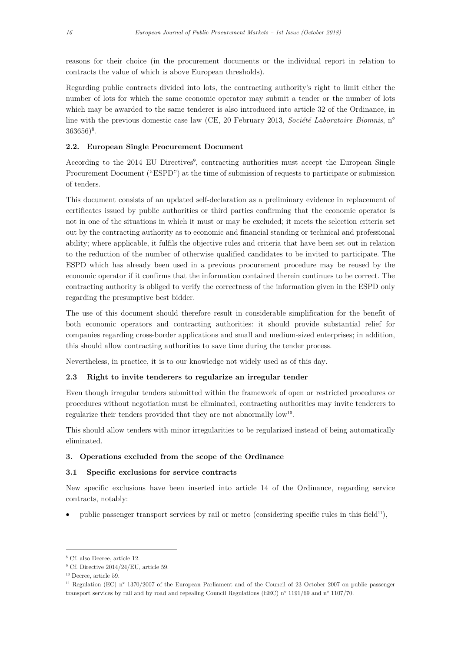reasons for their choice (in the procurement documents or the individual report in relation to contracts the value of which is above European thresholds).

Regarding public contracts divided into lots, the contracting authority's right to limit either the number of lots for which the same economic operator may submit a tender or the number of lots which may be awarded to the same tenderer is also introduced into article 32 of the Ordinance, in line with the previous domestic case law (CE, 20 February 2013, Société Laboratoire Biomnis, n°  $363656)^8$ .

### 2.2. European Single Procurement Document

According to the 2014 EU Directives<sup>9</sup>, contracting authorities must accept the European Single Procurement Document ("ESPD") at the time of submission of requests to participate or submission of tenders.

This document consists of an updated self-declaration as a preliminary evidence in replacement of certificates issued by public authorities or third parties confirming that the economic operator is not in one of the situations in which it must or may be excluded; it meets the selection criteria set out by the contracting authority as to economic and financial standing or technical and professional ability; where applicable, it fulfils the objective rules and criteria that have been set out in relation to the reduction of the number of otherwise qualified candidates to be invited to participate. The ESPD which has already been used in a previous procurement procedure may be reused by the economic operator if it confirms that the information contained therein continues to be correct. The contracting authority is obliged to verify the correctness of the information given in the ESPD only regarding the presumptive best bidder.

The use of this document should therefore result in considerable simplification for the benefit of both economic operators and contracting authorities: it should provide substantial relief for companies regarding cross-border applications and small and medium-sized enterprises; in addition, this should allow contracting authorities to save time during the tender process.

Nevertheless, in practice, it is to our knowledge not widely used as of this day.

### 2.3 Right to invite tenderers to regularize an irregular tender

Even though irregular tenders submitted within the framework of open or restricted procedures or procedures without negotiation must be eliminated, contracting authorities may invite tenderers to regularize their tenders provided that they are not abnormally low<sup>10</sup>.

This should allow tenders with minor irregularities to be regularized instead of being automatically eliminated.

### 3. Operations excluded from the scope of the Ordinance

### 3.1 Specific exclusions for service contracts

New specific exclusions have been inserted into article 14 of the Ordinance, regarding service contracts, notably:

public passenger transport services by rail or metro (considering specific rules in this field<sup>11</sup>),

<sup>8</sup> Cf. also Decree, article 12.

<sup>9</sup> Cf. Directive 2014/24/EU, article 59.

<sup>10</sup> Decree, article 59.

<sup>&</sup>lt;sup>11</sup> Regulation (EC) n° 1370/2007 of the European Parliament and of the Council of 23 October 2007 on public passenger transport services by rail and by road and repealing Council Regulations (EEC) n° 1191/69 and n° 1107/70.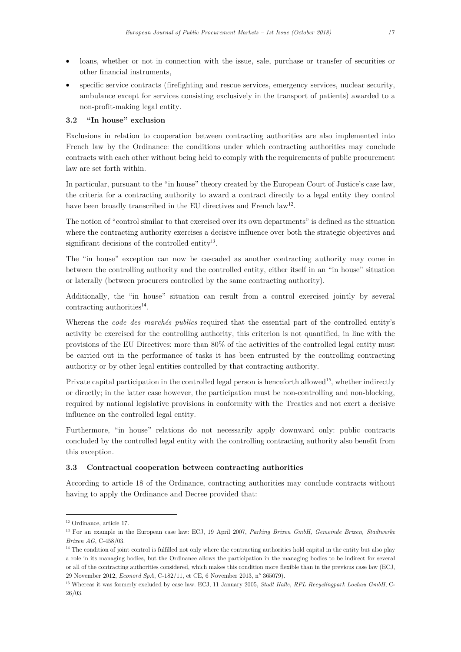- loans, whether or not in connection with the issue, sale, purchase or transfer of securities or other financial instruments,
- specific service contracts (firefighting and rescue services, emergency services, nuclear security, ambulance except for services consisting exclusively in the transport of patients) awarded to a non-profit-making legal entity.

### 3.2 "In house" exclusion

Exclusions in relation to cooperation between contracting authorities are also implemented into French law by the Ordinance: the conditions under which contracting authorities may conclude contracts with each other without being held to comply with the requirements of public procurement law are set forth within.

In particular, pursuant to the "in house" theory created by the European Court of Justice's case law, the criteria for a contracting authority to award a contract directly to a legal entity they control have been broadly transcribed in the EU directives and French law<sup>12</sup>.

The notion of "control similar to that exercised over its own departments" is defined as the situation where the contracting authority exercises a decisive influence over both the strategic objectives and significant decisions of the controlled entity<sup>13</sup>.

The "in house" exception can now be cascaded as another contracting authority may come in between the controlling authority and the controlled entity, either itself in an "in house" situation or laterally (between procurers controlled by the same contracting authority).

Additionally, the "in house" situation can result from a control exercised jointly by several contracting authorities<sup>14</sup>.

Whereas the *code des marchés publics* required that the essential part of the controlled entity's activity be exercised for the controlling authority, this criterion is not quantified, in line with the provisions of the EU Directives: more than 80% of the activities of the controlled legal entity must be carried out in the performance of tasks it has been entrusted by the controlling contracting authority or by other legal entities controlled by that contracting authority.

Private capital participation in the controlled legal person is henceforth allowed<sup>15</sup>, whether indirectly or directly; in the latter case however, the participation must be non-controlling and non-blocking, required by national legislative provisions in conformity with the Treaties and not exert a decisive influence on the controlled legal entity.

Furthermore, "in house" relations do not necessarily apply downward only: public contracts concluded by the controlled legal entity with the controlling contracting authority also benefit from this exception.

### 3.3 Contractual cooperation between contracting authorities

According to article 18 of the Ordinance, contracting authorities may conclude contracts without having to apply the Ordinance and Decree provided that:

<sup>12</sup> Ordinance, article 17.

<sup>&</sup>lt;sup>13</sup> For an example in the European case law: ECJ, 19 April 2007, Parking Brixen GmbH, Gemeinde Brixen, Stadtwerke Brixen AG, C-458/03.

<sup>&</sup>lt;sup>14</sup> The condition of joint control is fulfilled not only where the contracting authorities hold capital in the entity but also play a role in its managing bodies, but the Ordinance allows the participation in the managing bodies to be indirect for several or all of the contracting authorities considered, which makes this condition more flexible than in the previous case law (ECJ, 29 November 2012, Econord SpA, C-182/11, et CE, 6 November 2013, n° 365079).

<sup>&</sup>lt;sup>15</sup> Whereas it was formerly excluded by case law: ECJ, 11 January 2005, Stadt Halle, RPL Recyclingpark Lochau GmbH, C-26/03.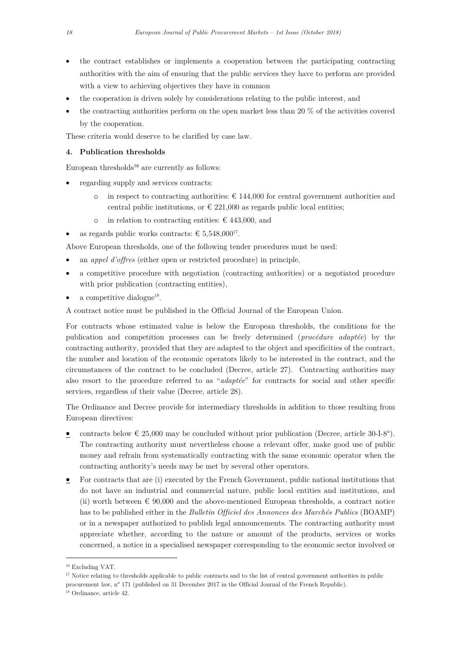- the contract establishes or implements a cooperation between the participating contracting authorities with the aim of ensuring that the public services they have to perform are provided with a view to achieving objectives they have in common
- the cooperation is driven solely by considerations relating to the public interest, and
- the contracting authorities perform on the open market less than 20 % of the activities covered by the cooperation.

These criteria would deserve to be clarified by case law.

### 4. Publication thresholds

European thresholds<sup>16</sup> are currently as follows:

- regarding supply and services contracts:
	- o in respect to contracting authorities:  $\epsilon$  144,000 for central government authorities and central public institutions, or  $\in$  221,000 as regards public local entities;
	- o in relation to contracting entities:  $\in$  443,000, and
- as regards public works contracts:  $\in 5{,}548{,}000^{17}$ .

Above European thresholds, one of the following tender procedures must be used:

- an appel d'offres (either open or restricted procedure) in principle,
- a competitive procedure with negotiation (contracting authorities) or a negotiated procedure with prior publication (contracting entities).
- $\bullet$  a competitive dialogue<sup>18</sup>.

A contract notice must be published in the Official Journal of the European Union.

For contracts whose estimated value is below the European thresholds, the conditions for the publication and competition processes can be freely determined (procédure adaptée) by the contracting authority, provided that they are adapted to the object and specificities of the contract, the number and location of the economic operators likely to be interested in the contract, and the circumstances of the contract to be concluded (Decree, article 27). Contracting authorities may also resort to the procedure referred to as "adaptée" for contracts for social and other specific services, regardless of their value (Decree, article 28).

The Ordinance and Decree provide for intermediary thresholds in addition to those resulting from European directives:

- contracts below  $\in$  25,000 may be concluded without prior publication (Decree, article 30-I-8°). The contracting authority must nevertheless choose a relevant offer, make good use of public money and refrain from systematically contracting with the same economic operator when the contracting authority's needs may be met by several other operators.
- For contracts that are (i) executed by the French Government, public national institutions that do not have an industrial and commercial nature, public local entities and institutions, and (ii) worth between  $\epsilon$  90,000 and the above-mentioned European thresholds, a contract notice has to be published either in the *Bulletin Officiel des Annonces des Marchés Publics* (BOAMP) or in a newspaper authorized to publish legal announcements. The contracting authority must appreciate whether, according to the nature or amount of the products, services or works concerned, a notice in a specialised newspaper corresponding to the economic sector involved or

<sup>16</sup> Excluding VAT.

<sup>&</sup>lt;sup>17</sup> Notice relating to thresholds applicable to public contracts and to the list of central government authorities in public

procurement law, n° 171 (published on 31 December 2017 in the Official Journal of the French Republic).

<sup>18</sup> Ordinance, article 42.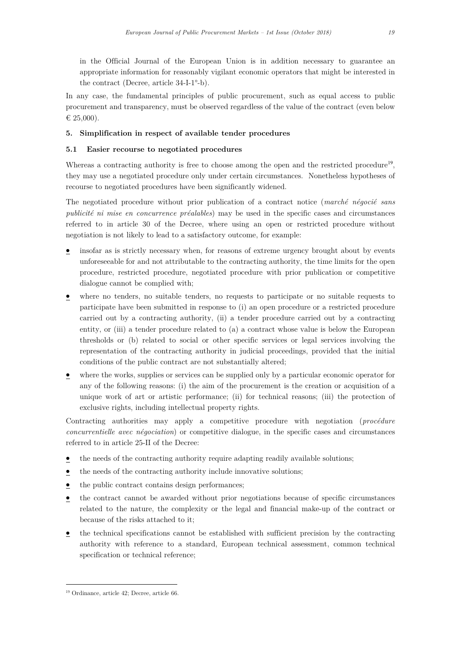in the Official Journal of the European Union is in addition necessary to guarantee an appropriate information for reasonably vigilant economic operators that might be interested in the contract (Decree, article 34-I-1°-b).

In any case, the fundamental principles of public procurement, such as equal access to public procurement and transparency, must be observed regardless of the value of the contract (even below € 25,000).

### 5. Simplification in respect of available tender procedures

### 5.1 Easier recourse to negotiated procedures

Whereas a contracting authority is free to choose among the open and the restricted procedure<sup>19</sup>, they may use a negotiated procedure only under certain circumstances. Nonetheless hypotheses of recourse to negotiated procedures have been significantly widened.

The negotiated procedure without prior publication of a contract notice (marché négocié sans publicité ni mise en concurrence préalables) may be used in the specific cases and circumstances referred to in article 30 of the Decree, where using an open or restricted procedure without negotiation is not likely to lead to a satisfactory outcome, for example:

- insofar as is strictly necessary when, for reasons of extreme urgency brought about by events unforeseeable for and not attributable to the contracting authority, the time limits for the open procedure, restricted procedure, negotiated procedure with prior publication or competitive dialogue cannot be complied with;
- where no tenders, no suitable tenders, no requests to participate or no suitable requests to participate have been submitted in response to (i) an open procedure or a restricted procedure carried out by a contracting authority, (ii) a tender procedure carried out by a contracting entity, or (iii) a tender procedure related to (a) a contract whose value is below the European thresholds or (b) related to social or other specific services or legal services involving the representation of the contracting authority in judicial proceedings, provided that the initial conditions of the public contract are not substantially altered;
- where the works, supplies or services can be supplied only by a particular economic operator for any of the following reasons: (i) the aim of the procurement is the creation or acquisition of a unique work of art or artistic performance; (ii) for technical reasons; (iii) the protection of exclusive rights, including intellectual property rights.

Contracting authorities may apply a competitive procedure with negotiation (procédure concurrentielle avec négociation) or competitive dialogue, in the specific cases and circumstances referred to in article 25-II of the Decree:

- the needs of the contracting authority require adapting readily available solutions;
- the needs of the contracting authority include innovative solutions;
- the public contract contains design performances;
- the contract cannot be awarded without prior negotiations because of specific circumstances related to the nature, the complexity or the legal and financial make-up of the contract or because of the risks attached to it;
- the technical specifications cannot be established with sufficient precision by the contracting authority with reference to a standard, European technical assessment, common technical specification or technical reference;

<sup>19</sup> Ordinance, article 42; Decree, article 66.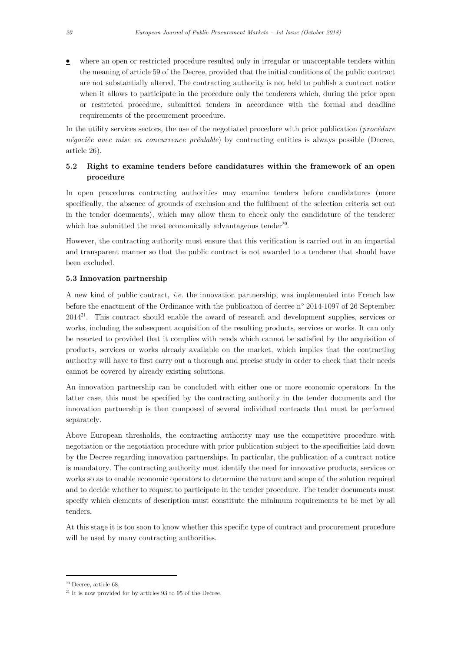where an open or restricted procedure resulted only in irregular or unacceptable tenders within the meaning of article 59 of the Decree, provided that the initial conditions of the public contract are not substantially altered. The contracting authority is not held to publish a contract notice when it allows to participate in the procedure only the tenderers which, during the prior open or restricted procedure, submitted tenders in accordance with the formal and deadline requirements of the procurement procedure.

In the utility services sectors, the use of the negotiated procedure with prior publication (*procédure* négociée avec mise en concurrence préalable) by contracting entities is always possible (Decree, article 26).

# 5.2 Right to examine tenders before candidatures within the framework of an open procedure

In open procedures contracting authorities may examine tenders before candidatures (more specifically, the absence of grounds of exclusion and the fulfilment of the selection criteria set out in the tender documents), which may allow them to check only the candidature of the tenderer which has submitted the most economically advantageous tender<sup>20</sup>.

However, the contracting authority must ensure that this verification is carried out in an impartial and transparent manner so that the public contract is not awarded to a tenderer that should have been excluded.

### 5.3 Innovation partnership

A new kind of public contract, i.e. the innovation partnership, was implemented into French law before the enactment of the Ordinance with the publication of decree n° 2014-1097 of 26 September 2014<sup>21</sup>. This contract should enable the award of research and development supplies, services or works, including the subsequent acquisition of the resulting products, services or works. It can only be resorted to provided that it complies with needs which cannot be satisfied by the acquisition of products, services or works already available on the market, which implies that the contracting authority will have to first carry out a thorough and precise study in order to check that their needs cannot be covered by already existing solutions.

An innovation partnership can be concluded with either one or more economic operators. In the latter case, this must be specified by the contracting authority in the tender documents and the innovation partnership is then composed of several individual contracts that must be performed separately.

Above European thresholds, the contracting authority may use the competitive procedure with negotiation or the negotiation procedure with prior publication subject to the specificities laid down by the Decree regarding innovation partnerships. In particular, the publication of a contract notice is mandatory. The contracting authority must identify the need for innovative products, services or works so as to enable economic operators to determine the nature and scope of the solution required and to decide whether to request to participate in the tender procedure. The tender documents must specify which elements of description must constitute the minimum requirements to be met by all tenders.

At this stage it is too soon to know whether this specific type of contract and procurement procedure will be used by many contracting authorities.

<sup>20</sup> Decree, article 68.

 $21$  It is now provided for by articles 93 to 95 of the Decree.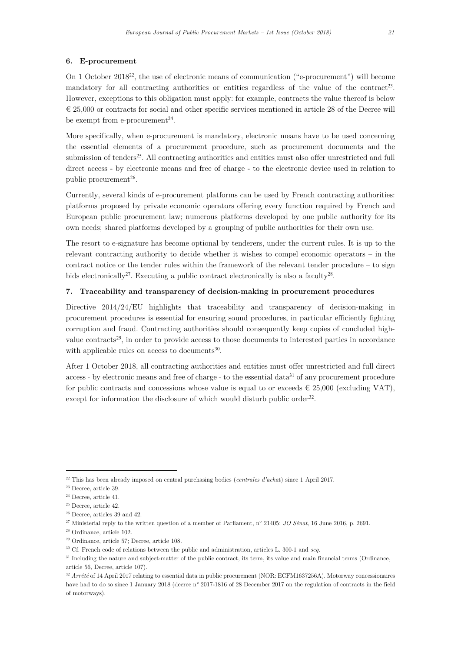#### 6. E-procurement

On 1 October 2018<sup>22</sup>, the use of electronic means of communication ("e-procurement") will become mandatory for all contracting authorities or entities regardless of the value of the contract<sup>23</sup>. However, exceptions to this obligation must apply: for example, contracts the value thereof is below  $\in$  25,000 or contracts for social and other specific services mentioned in article 28 of the Decree will be exempt from e-procurement<sup>24</sup>.

More specifically, when e-procurement is mandatory, electronic means have to be used concerning the essential elements of a procurement procedure, such as procurement documents and the submission of tenders<sup>25</sup>. All contracting authorities and entities must also offer unrestricted and full direct access - by electronic means and free of charge - to the electronic device used in relation to public procurement<sup>26</sup>.

Currently, several kinds of e-procurement platforms can be used by French contracting authorities: platforms proposed by private economic operators offering every function required by French and European public procurement law; numerous platforms developed by one public authority for its own needs; shared platforms developed by a grouping of public authorities for their own use.

The resort to e-signature has become optional by tenderers, under the current rules. It is up to the relevant contracting authority to decide whether it wishes to compel economic operators – in the contract notice or the tender rules within the framework of the relevant tender procedure  $-$  to sign bids electronically<sup>27</sup>. Executing a public contract electronically is also a faculty<sup>28</sup>.

# 7. Traceability and transparency of decision-making in procurement procedures

Directive  $2014/24/EU$  highlights that traceability and transparency of decision-making in procurement procedures is essential for ensuring sound procedures, in particular efficiently fighting corruption and fraud. Contracting authorities should consequently keep copies of concluded highvalue contracts<sup>29</sup>, in order to provide access to those documents to interested parties in accordance with applicable rules on access to documents<sup>30</sup>.

After 1 October 2018, all contracting authorities and entities must offer unrestricted and full direct access - by electronic means and free of charge - to the essential data<sup>31</sup> of any procurement procedure for public contracts and concessions whose value is equal to or exceeds  $\in 25,000$  (excluding VAT), except for information the disclosure of which would disturb public order<sup>32</sup>.

<sup>&</sup>lt;sup>22</sup> This has been already imposed on central purchasing bodies (*centrales d'achat*) since 1 April 2017.

<sup>23</sup> Decree, article 39.

<sup>24</sup> Decree, article 41.

<sup>25</sup> Decree, article 42.

<sup>26</sup> Decree, articles 39 and 42.

<sup>&</sup>lt;sup>27</sup> Ministerial reply to the written question of a member of Parliament, n° 21405: *JO Sénat*, 16 June 2016, p. 2691.

<sup>28</sup> Ordinance, article 102.

<sup>29</sup> Ordinance, article 57; Decree, article 108.

<sup>&</sup>lt;sup>30</sup> Cf. French code of relations between the public and administration, articles L. 300-1 and seq.

<sup>&</sup>lt;sup>31</sup> Including the nature and subject-matter of the public contract, its term, its value and main financial terms (Ordinance, article 56, Decree, article 107).

 $32$  Arrêté of 14 April 2017 relating to essential data in public procurement (NOR: ECFM1637256A). Motorway concessionaires have had to do so since 1 January 2018 (decree n° 2017-1816 of 28 December 2017 on the regulation of contracts in the field of motorways).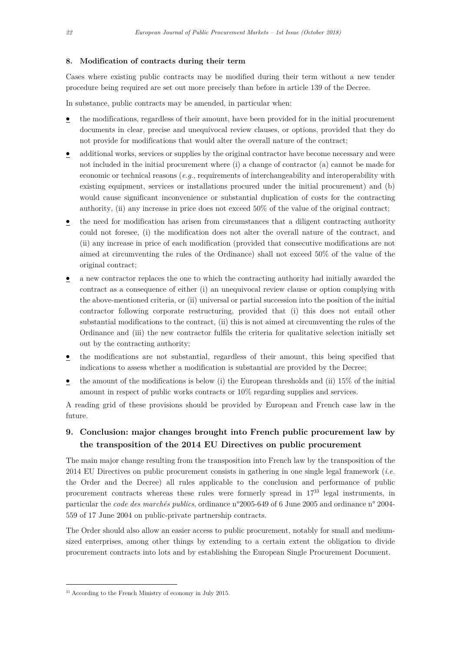#### 8. Modification of contracts during their term

Cases where existing public contracts may be modified during their term without a new tender procedure being required are set out more precisely than before in article 139 of the Decree.

In substance, public contracts may be amended, in particular when:

- the modifications, regardless of their amount, have been provided for in the initial procurement documents in clear, precise and unequivocal review clauses, or options, provided that they do not provide for modifications that would alter the overall nature of the contract;
- additional works, services or supplies by the original contractor have become necessary and were not included in the initial procurement where (i) a change of contractor (a) cannot be made for economic or technical reasons  $(e,q)$ , requirements of interchangeability and interoperability with existing equipment, services or installations procured under the initial procurement) and (b) would cause significant inconvenience or substantial duplication of costs for the contracting authority, (ii) any increase in price does not exceed 50% of the value of the original contract;
- the need for modification has arisen from circumstances that a diligent contracting authority could not foresee, (i) the modification does not alter the overall nature of the contract, and (ii) any increase in price of each modification (provided that consecutive modifications are not aimed at circumventing the rules of the Ordinance) shall not exceed 50% of the value of the original contract;
- a new contractor replaces the one to which the contracting authority had initially awarded the contract as a consequence of either (i) an unequivocal review clause or option complying with the above-mentioned criteria, or (ii) universal or partial succession into the position of the initial contractor following corporate restructuring, provided that (i) this does not entail other substantial modifications to the contract, (ii) this is not aimed at circumventing the rules of the Ordinance and (iii) the new contractor fulfils the criteria for qualitative selection initially set out by the contracting authority;
- the modifications are not substantial, regardless of their amount, this being specified that indications to assess whether a modification is substantial are provided by the Decree;
- $\bullet$  the amount of the modifications is below (i) the European thresholds and (ii) 15% of the initial amount in respect of public works contracts or 10% regarding supplies and services.

A reading grid of these provisions should be provided by European and French case law in the future.

# 9. Conclusion: major changes brought into French public procurement law by the transposition of the 2014 EU Directives on public procurement

The main major change resulting from the transposition into French law by the transposition of the 2014 EU Directives on public procurement consists in gathering in one single legal framework (*i.e.*) the Order and the Decree) all rules applicable to the conclusion and performance of public procurement contracts whereas these rules were formerly spread in 17<sup>33</sup> legal instruments, in particular the code des marchés publics, ordinance n°2005-649 of 6 June 2005 and ordinance n° 2004- 559 of 17 June 2004 on public-private partnership contracts.

The Order should also allow an easier access to public procurement, notably for small and mediumsized enterprises, among other things by extending to a certain extent the obligation to divide procurement contracts into lots and by establishing the European Single Procurement Document.

<sup>&</sup>lt;sup>33</sup> According to the French Ministry of economy in July 2015.